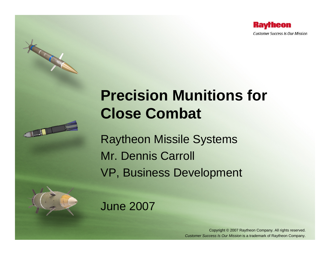

# **Precision Munitions for Close Combat**

Raytheon Missile Systems Mr. Dennis Carroll VP, Business Development

June 2007



TTL

**Company of the Company of the Company of the Company of the Company of the Company of the Company of the Company of the Company of the Company of the Company of the Company of the Company of The Company of The Company of** 

Copyright © 2007 Raytheon Company. All rights reserved. *Customer Success Is Our Mission* is a trademark of Raytheon Company.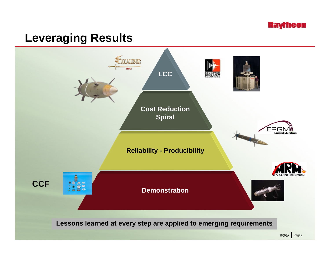

## **Leveraging Results**

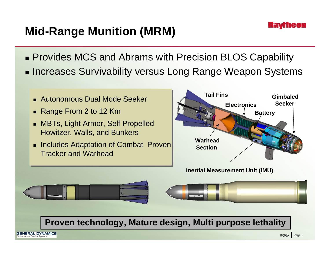

## **Mid-Range Munition (MRM)**

- Provides MCS and Abrams with Precision BLOS Capability ■ Increases Survivability versus Long Range Weapon Systems
	- Autonomous Dual Mode Seeker
	- Range From 2 to 12 Km
	- MBTs, Light Armor, Self Propelled Howitzer, Walls, and Bunkers
	- **Includes Adaptation of Combat Proven** Tracker and Warhead



**Inertial Measurement Unit (IMU)**



### **Proven technology, Mature design, Multi purpose lethality**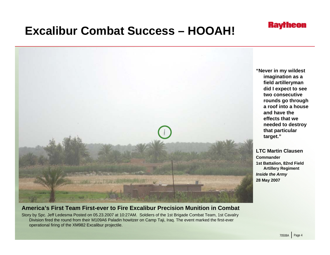

## **Excalibur Combat Success – HOOAH!**



#### **America's First Team First-ever to Fire Excalibur Precision Munition in Combat**

Story by Spc. Jeff Ledesma Posted on 05.23.2007 at 10:27AM. Soldiers of the 1st Brigade Combat Team, 1st Cavalry Division fired the round from their M109A6 Paladin howitzer on Camp Taji, Iraq. The event marked the first-ever operational firing of the XM982 Excalibur projectile.

**"Never in my wildest imagination as a field artilleryman did I expect to see two consecutive rounds go through a roof into a house and have the effects that we needed to destroy that particular target."**

**LTC Martin ClausenCommander1st Battalion, 82nd Field Artillery Regiment** *Inside the Army* **28 May 2007**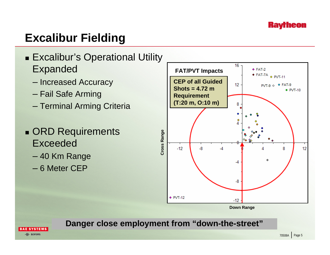

## **Excalibur Fielding**



- Increased Accuracy
- Fail Safe Arming
- Terminal Arming Criteria
- ORD Requirements Exceeded
	- 40 Km Range
	- 6 Meter CEP



**Down Range**

### **Danger close employment from "down-the-street"**

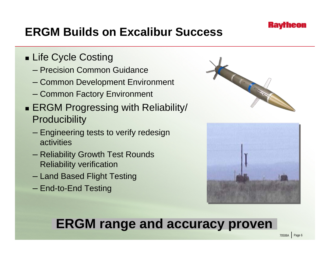

## **ERGM Builds on Excalibur Success**

- Life Cycle Costing
	- Precision Common Guidance
	- Common Development Environment
	- Common Factory Environment
- ERGM Progressing with Reliability/ **Producibility** 
	- Engineering tests to verify redesign activities
	- Reliability Growth Test Rounds Reliability verification
	- Land Based Flight Testing
	- End-to-End Testing





# **ERGM range and accuracy proven**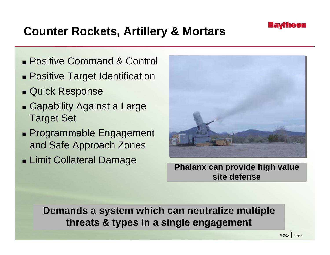

## **Counter Rockets, Artillery & Mortars**

- Positive Command & Control
- Positive Target Identification
- Quick Response
- Capability Against a Large Target Set
- Programmable Engagement and Safe Approach Zones
- Limit Collateral Damage



**Phalanx can provide high value site defense**

**Demands a system which can neutralize multiple threats & types in a single engagement**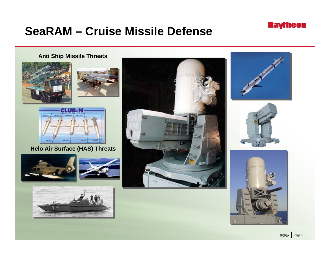## **SeaRAM – Cruise Missile Defense**

### **Anti Ship Missile Threats**







#### **Helo Air Surface (HAS) Threats**















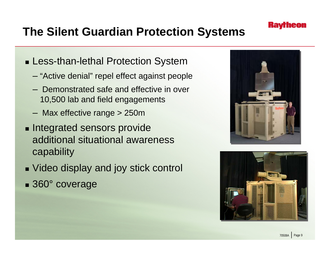

## **The Silent Guardian Protection Systems**

- Less-than-lethal Protection System
	- "Active denial" repel effect against people
	- Demonstrated safe and effective in over 10,500 lab and field engagements
	- Max effective range > 250m
- **Integrated sensors provide** additional situational awareness capability
- Video display and joy stick control ■ 360° coverage



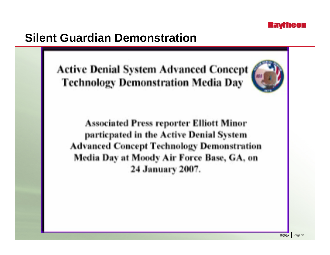### **Kavrneon**

## **Silent Guardian Demonstration**

**Active Denial System Advanced Concept Technology Demonstration Media Day** 



**Associated Press reporter Elliott Minor** particpated in the Active Denial System **Advanced Concept Technology Demonstration** Media Day at Moody Air Force Base, GA, on 24 January 2007.